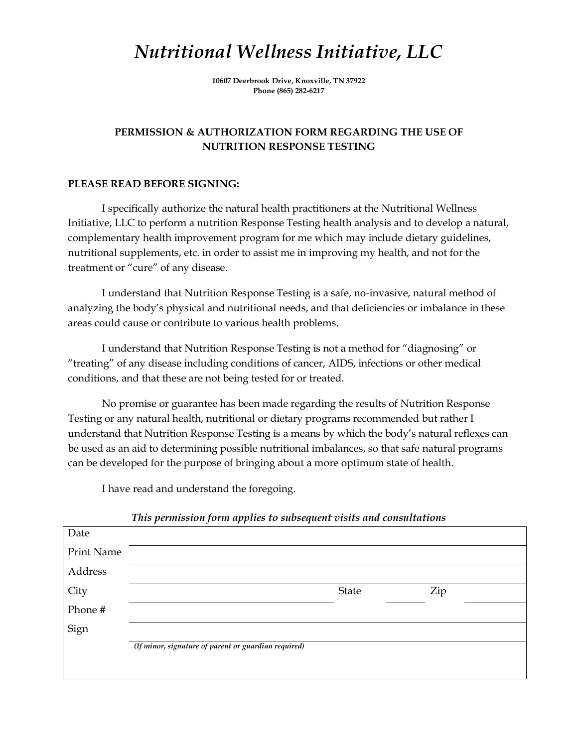## *Nutritional Wellness Initiative, LLC*

**10607 Deerbrook Drive, Knoxville, TN 37922 Phone (865) 282-6217**

### **PERMISSION & AUTHORIZATION FORM REGARDING THE USE OF NUTRITION RESPONSE TESTING**

#### **PLEASE READ BEFORE SIGNING:**

I specifically authorize the natural health practitioners at the Nutritional Wellness Initiative, LLC to perform a nutrition Response Testing health analysis and to develop a natural, complementary health improvement program for me which may include dietary guidelines, nutritional supplements, etc. in order to assist me in improving my health, and not for the treatment or "cure" of any disease.

I understand that Nutrition Response Testing is a safe, no-invasive, natural method of analyzing the body's physical and nutritional needs, and that deficiencies or imbalance in these areas could cause or contribute to various health problems.

I understand that Nutrition Response Testing is not a method for "diagnosing" or "treating" of any disease including conditions of cancer, AIDS, infections or other medical conditions, and that these are not being tested for or treated.

No promise or guarantee has been made regarding the results of Nutrition Response Testing or any natural health, nutritional or dietary programs recommended but rather I understand that Nutrition Response Testing is a means by which the body's natural reflexes can be used as an aid to determining possible nutritional imbalances, so that safe natural programs can be developed for the purpose of bringing about a more optimum state of health.

I have read and understand the foregoing.

| Date       |                                                      |       |     |  |
|------------|------------------------------------------------------|-------|-----|--|
| Print Name |                                                      |       |     |  |
| Address    |                                                      |       |     |  |
| City       |                                                      | State | Zip |  |
| Phone #    |                                                      |       |     |  |
| Sign       |                                                      |       |     |  |
|            | (If minor, signature of parent or guardian required) |       |     |  |
|            |                                                      |       |     |  |

*This permission form applies to subsequent visits and consultations*